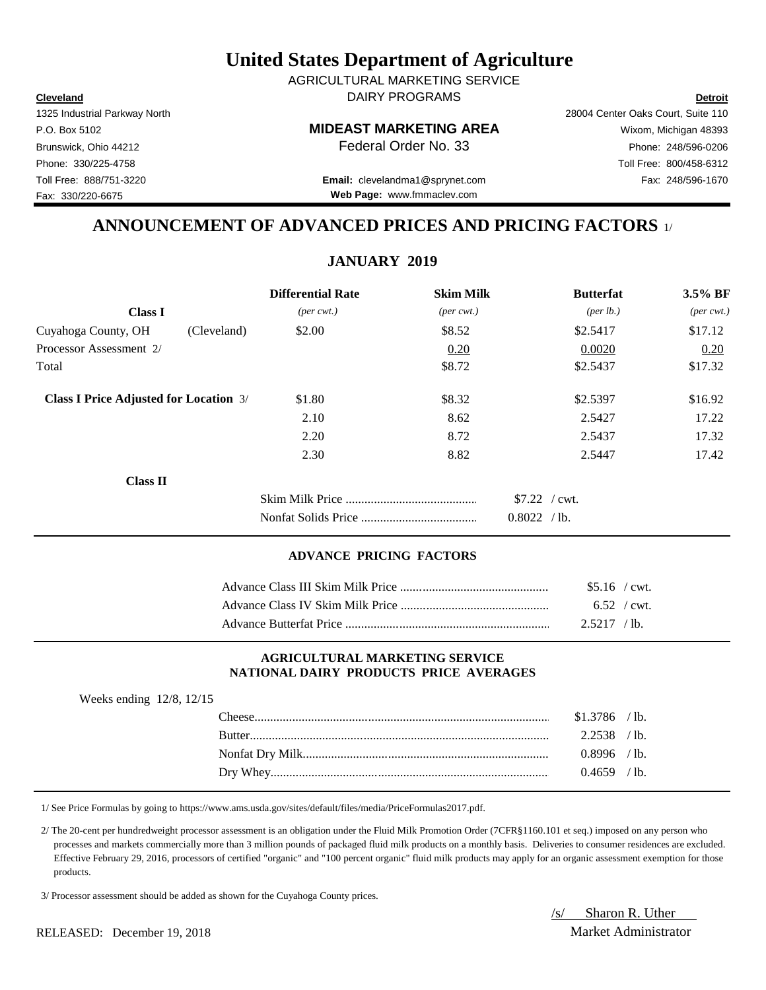**Cleveland Detroit** DAIRY PROGRAMS AGRICULTURAL MARKETING SERVICE

P.O. Box 5102 **MIDEAST MARKETING AREA** Wixom, Michigan 48393

Toll Free: 888/751-3220 Fax: 248/596-1670 **Email:** clevelandma1@sprynet.com **Web Page:** www.fmmaclev.com

# **ANNOUNCEMENT OF ADVANCED PRICES AND PRICING FACTORS** 1/

## **JANUARY 2019**

|                                               |             | <b>Differential Rate</b>    | <b>Skim Milk</b>            | <b>Butterfat</b>   | 3.5% BF                     |
|-----------------------------------------------|-------------|-----------------------------|-----------------------------|--------------------|-----------------------------|
| <b>Class I</b>                                |             | $(\text{per} \text{ cwt.})$ | $(\text{per} \text{ cwt.})$ | $(\text{per lb.})$ | $(\text{per} \text{ cwt.})$ |
| Cuyahoga County, OH                           | (Cleveland) | \$2.00                      | \$8.52                      | \$2.5417           | \$17.12                     |
| Processor Assessment 2/                       |             |                             | 0.20                        | 0.0020             | 0.20                        |
| Total                                         |             |                             | \$8.72                      | \$2.5437           | \$17.32                     |
| <b>Class I Price Adjusted for Location 3/</b> |             | \$1.80                      | \$8.32                      | \$2.5397           | \$16.92                     |
|                                               |             | 2.10                        | 8.62                        | 2.5427             | 17.22                       |
|                                               |             | 2.20                        | 8.72                        | 2.5437             | 17.32                       |
|                                               |             | 2.30                        | 8.82                        | 2.5447             | 17.42                       |
| <b>Class II</b>                               |             |                             |                             |                    |                             |
|                                               |             |                             |                             | $$7.22$ / cwt.     |                             |
|                                               |             |                             |                             | 0.8022 / lb.       |                             |

### **ADVANCE PRICING FACTORS**

| $$5.16$ / cwt. |  |
|----------------|--|
| $6.52$ / cwt.  |  |
| $2.5217$ /lb.  |  |

#### **AGRICULTURAL MARKETING SERVICE NATIONAL DAIRY PRODUCTS PRICE AVERAGES**

| Weeks ending $12/8$ , $12/15$ |        |                |                 |
|-------------------------------|--------|----------------|-----------------|
|                               |        | $$1.3786$ /lb. |                 |
|                               | Butter | 2.2538         | $\prime$ lb.    |
|                               |        | $0.8996$ /lb.  |                 |
|                               |        | 0.4659.        | $^{\prime}$ 1b. |

1/ See Price Formulas by going to https://www.ams.usda.gov/sites/default/files/media/PriceFormulas2017.pdf.

 2/ The 20-cent per hundredweight processor assessment is an obligation under the Fluid Milk Promotion Order (7CFR§1160.101 et seq.) imposed on any person who processes and markets commercially more than 3 million pounds of packaged fluid milk products on a monthly basis. Deliveries to consumer residences are excluded. Effective February 29, 2016, processors of certified "organic" and "100 percent organic" fluid milk products may apply for an organic assessment exemption for those products.

3/ Processor assessment should be added as shown for the Cuyahoga County prices.

/s/ Sharon R. Uther

1325 Industrial Parkway North 28004 Center Oaks Court, Suite 110

Brunswick, Ohio 44212 **Phone: 248/596-0206 Federal Order No. 33** Phone: 248/596-0206 Phone: 330/225-4758 Toll Free: 800/458-6312 Fax: 330/220-6675

#### RELEASED: December 19, 2018 and the contract and the contract and the Market Administrator Market Administrator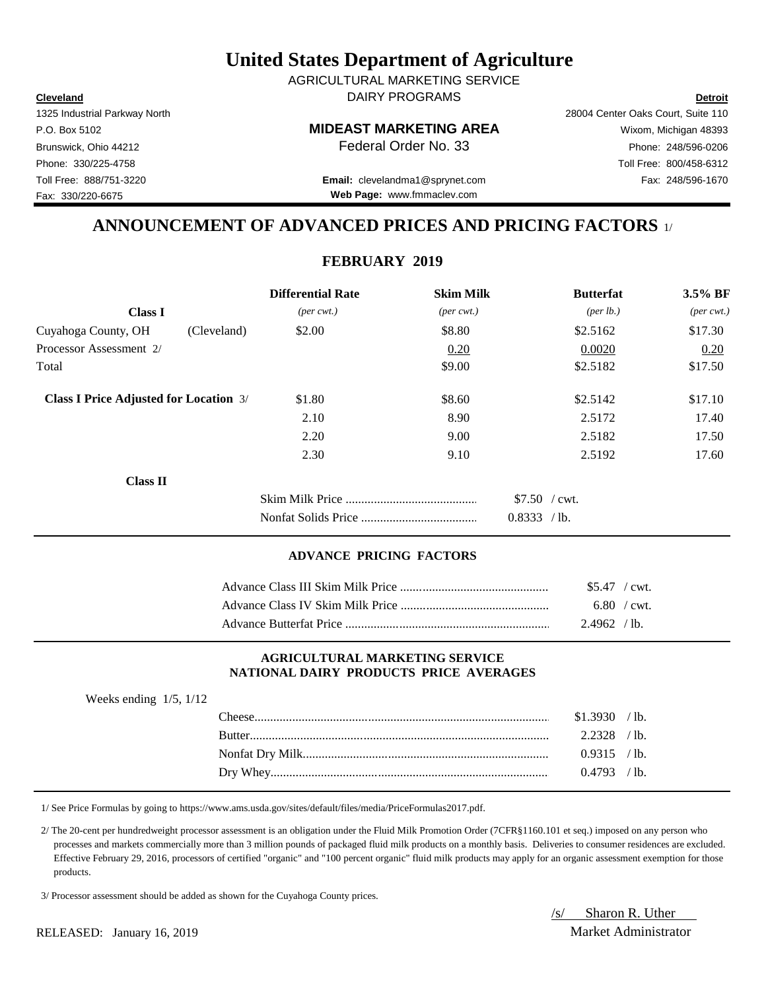**Cleveland Detroit** DAIRY PROGRAMS AGRICULTURAL MARKETING SERVICE

### P.O. Box 5102 **MIDEAST MARKETING AREA** Wixom, Michigan 48393

Toll Free: 888/751-3220 Fax: 248/596-1670 **Email:** clevelandma1@sprynet.com **Web Page:** www.fmmaclev.com

# **ANNOUNCEMENT OF ADVANCED PRICES AND PRICING FACTORS** 1/

## **FEBRUARY 2019**

|                                               |             | <b>Differential Rate</b>    | <b>Skim Milk</b>            | <b>Butterfat</b>   | 3.5% BF                     |
|-----------------------------------------------|-------------|-----------------------------|-----------------------------|--------------------|-----------------------------|
| <b>Class I</b>                                |             | $(\text{per} \text{ cwt.})$ | $(\text{per} \text{ cwt.})$ | $(\text{per lb.})$ | $(\text{per} \text{ cwt.})$ |
| Cuyahoga County, OH                           | (Cleveland) | \$2.00                      | \$8.80                      | \$2.5162           | \$17.30                     |
| Processor Assessment 2/                       |             |                             | 0.20                        | 0.0020             | 0.20                        |
| Total                                         |             |                             | \$9.00                      | \$2.5182           | \$17.50                     |
| <b>Class I Price Adjusted for Location 3/</b> |             | \$1.80                      | \$8.60                      | \$2.5142           | \$17.10                     |
|                                               |             | 2.10                        | 8.90                        | 2.5172             | 17.40                       |
|                                               |             | 2.20                        | 9.00                        | 2.5182             | 17.50                       |
|                                               |             | 2.30                        | 9.10                        | 2.5192             | 17.60                       |
| <b>Class II</b>                               |             |                             |                             |                    |                             |
|                                               |             |                             |                             | $$7.50$ / cwt.     |                             |
|                                               |             |                             |                             | 0.8333 / lb.       |                             |

#### **ADVANCE PRICING FACTORS**

| $$5.47$ / cwt. |  |
|----------------|--|
| 6.80 / cwt.    |  |
| 2.4962 / lb.   |  |

#### **AGRICULTURAL MARKETING SERVICE NATIONAL DAIRY PRODUCTS PRICE AVERAGES**

| Weeks ending $1/5$ , $1/12$ |               |              |                 |
|-----------------------------|---------------|--------------|-----------------|
|                             |               | \$1.3930     | $/1b$ .         |
|                             | <b>Butter</b> | 2.2328       | $\prime$ lb.    |
|                             |               | 0.9315 / lb. |                 |
|                             |               | 0.4793       | $^{\prime}$ 1b. |

1/ See Price Formulas by going to https://www.ams.usda.gov/sites/default/files/media/PriceFormulas2017.pdf.

 2/ The 20-cent per hundredweight processor assessment is an obligation under the Fluid Milk Promotion Order (7CFR§1160.101 et seq.) imposed on any person who processes and markets commercially more than 3 million pounds of packaged fluid milk products on a monthly basis. Deliveries to consumer residences are excluded. Effective February 29, 2016, processors of certified "organic" and "100 percent organic" fluid milk products may apply for an organic assessment exemption for those products.

3/ Processor assessment should be added as shown for the Cuyahoga County prices.

/s/ Sharon R. Uther

1325 Industrial Parkway North 28004 Center Oaks Court, Suite 110 Brunswick, Ohio 44212 **Phone: 248/596-0206 Federal Order No. 33** Phone: 248/596-0206 Phone: 330/225-4758 Toll Free: 800/458-6312 Fax: 330/220-6675

RELEASED: January 16, 2019 Market Administrator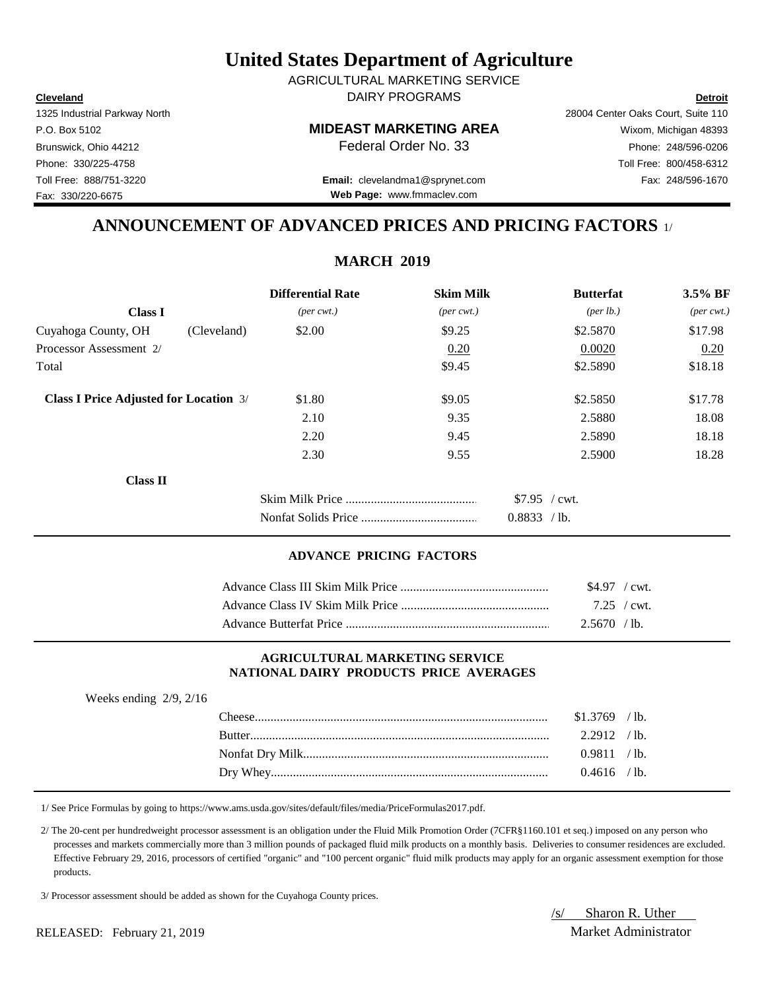**Cleveland Detroit** AGRICULTURAL MARKETING SERVICE DAIRY PROGRAMS

1325 Industrial Parkway North 28004 Center Oaks Court, Suite 110

**Web Page:** www.fmmaclev.com

# P.O. Box 5102 **MIDEAST MARKETING AREA** Wixom, Michigan 48393 Brunswick, Ohio 44212 **Phone:** 248/596-0206 **Federal Order No. 33** Phone: 248/596-0206 Phone: 330/225-4758 Toll Free: 800/458-6312 Toll Free: 888/751-3220 Fax: 248/596-1670 **Email:** clevelandma1@sprynet.com

## **ANNOUNCEMENT OF ADVANCED PRICES AND PRICING FACTORS** 1/

## **MARCH 2019**

|                                               |             | <b>Differential Rate</b>    | <b>Skim Milk</b>            | <b>Butterfat</b>     | 3.5% BF                     |
|-----------------------------------------------|-------------|-----------------------------|-----------------------------|----------------------|-----------------------------|
| <b>Class I</b>                                |             | $(\text{per} \text{ cwt.})$ | $(\text{per} \text{ cwt.})$ | ${\rm (per \, lb.)}$ | $(\text{per} \text{ cwt.})$ |
| Cuyahoga County, OH                           | (Cleveland) | \$2.00                      | \$9.25                      | \$2.5870             | \$17.98                     |
| Processor Assessment 2/                       |             |                             | 0.20                        | 0.0020               | 0.20                        |
| Total                                         |             |                             | \$9.45                      | \$2.5890             | \$18.18                     |
| <b>Class I Price Adjusted for Location 3/</b> |             | \$1.80                      | \$9.05                      | \$2.5850             | \$17.78                     |
|                                               |             | 2.10                        | 9.35                        | 2.5880               | 18.08                       |
|                                               |             | 2.20                        | 9.45                        | 2.5890               | 18.18                       |
|                                               |             | 2.30                        | 9.55                        | 2.5900               | 18.28                       |
| <b>Class II</b>                               |             |                             |                             |                      |                             |
|                                               |             |                             |                             | $$7.95$ / cwt.       |                             |
|                                               |             |                             |                             | 0.8833 / lb.         |                             |

#### **ADVANCE PRICING FACTORS**

| \$4.97 / cwt.       |  |
|---------------------|--|
| $7.25 / \text{cwt}$ |  |
| $2.5670$ / lb.      |  |

#### **AGRICULTURAL MARKETING SERVICE NATIONAL DAIRY PRODUCTS PRICE AVERAGES**

| Weeks ending $2/9$ , $2/16$ |                |  |
|-----------------------------|----------------|--|
|                             | $$1.3769$ /lb. |  |
|                             | $2.2912$ /lb.  |  |
|                             | 0.9811 / lb.   |  |
|                             | $0.4616$ /lb.  |  |

1/ See Price Formulas by going to https://www.ams.usda.gov/sites/default/files/media/PriceFormulas2017.pdf.

 2/ The 20-cent per hundredweight processor assessment is an obligation under the Fluid Milk Promotion Order (7CFR§1160.101 et seq.) imposed on any person who processes and markets commercially more than 3 million pounds of packaged fluid milk products on a monthly basis. Deliveries to consumer residences are excluded. Effective February 29, 2016, processors of certified "organic" and "100 percent organic" fluid milk products may apply for an organic assessment exemption for those products.

3/ Processor assessment should be added as shown for the Cuyahoga County prices.

/s/ Sharon R. Uther

RELEASED: February 21, 2019 Market Administrator

Fax: 330/220-6675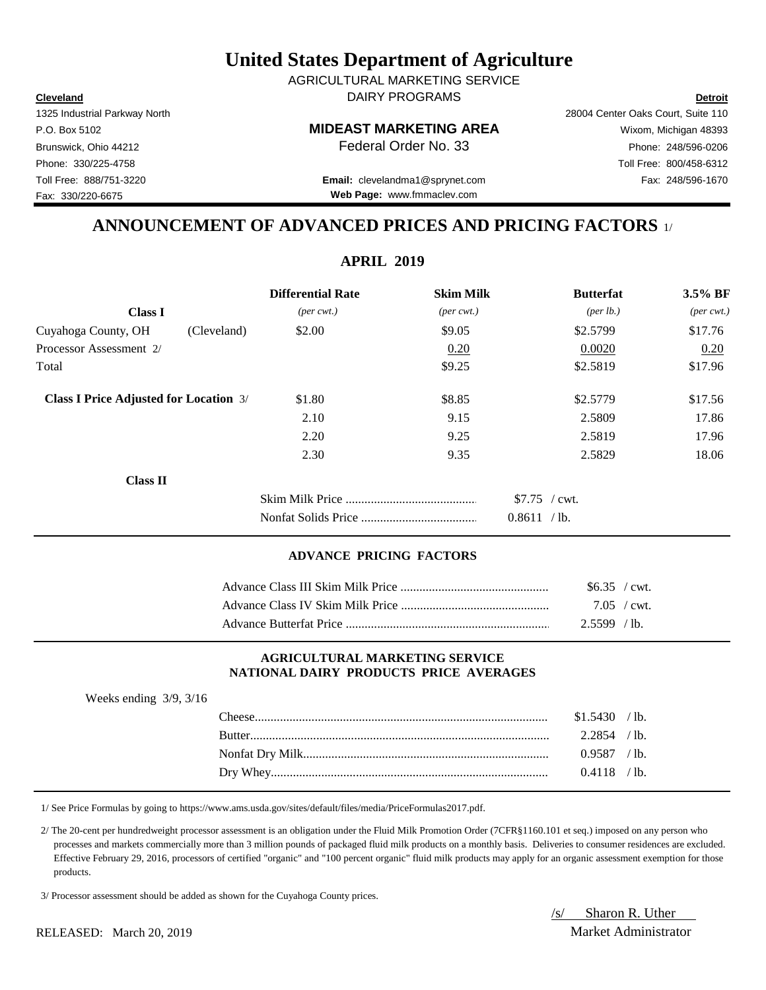**Cleveland Detroit** AGRICULTURAL MARKETING SERVICE DAIRY PROGRAMS

1325 Industrial Parkway North 28004 Center Oaks Court, Suite 110

# P.O. Box 5102 **MIDEAST MARKETING AREA** Wixom, Michigan 48393 Brunswick, Ohio 44212 **Phone:** 248/596-0206 **Federal Order No. 33** Phone: 248/596-0206 Phone: 330/225-4758 Toll Free: 800/458-6312 Toll Free: 888/751-3220 Fax: 248/596-1670 **Email:** clevelandma1@sprynet.com

**Web Page:** www.fmmaclev.com

# **ANNOUNCEMENT OF ADVANCED PRICES AND PRICING FACTORS** 1/

**APRIL 2019**

|                                               | <b>Differential Rate</b>    | <b>Skim Milk</b>            | <b>Butterfat</b>     | 3.5% BF                     |
|-----------------------------------------------|-----------------------------|-----------------------------|----------------------|-----------------------------|
| <b>Class I</b>                                | $(\text{per} \text{ cwt.})$ | $(\text{per} \text{ cwt.})$ | ${\rm (per \, lb.)}$ | $(\text{per} \text{ cwt.})$ |
| Cuyahoga County, OH<br>(Cleveland)            | \$2.00                      | \$9.05                      | \$2.5799             | \$17.76                     |
| Processor Assessment 2/                       |                             | 0.20                        | 0.0020               | 0.20                        |
| Total                                         |                             | \$9.25                      | \$2.5819             | \$17.96                     |
| <b>Class I Price Adjusted for Location 3/</b> | \$1.80                      | \$8.85                      | \$2.5779             | \$17.56                     |
|                                               | 2.10                        | 9.15                        | 2.5809               | 17.86                       |
|                                               | 2.20                        | 9.25                        | 2.5819               | 17.96                       |
|                                               | 2.30                        | 9.35                        | 2.5829               | 18.06                       |
| <b>Class II</b>                               |                             |                             |                      |                             |
|                                               |                             |                             | $$7.75$ / cwt.       |                             |
|                                               |                             |                             | 0.8611 / lb.         |                             |

#### **ADVANCE PRICING FACTORS**

| $$6.35$ / cwt. |  |
|----------------|--|
| 7.05 / cwt.    |  |
| $2.5599$ / lb. |  |

#### **AGRICULTURAL MARKETING SERVICE NATIONAL DAIRY PRODUCTS PRICE AVERAGES**

| Weeks ending $3/9$ , $3/16$ |                |  |
|-----------------------------|----------------|--|
|                             | $$1.5430$ /lb. |  |
|                             | $2.2854$ / lb  |  |
|                             | $0.9587$ /lb.  |  |
|                             | $0.4118$ /lb.  |  |

1/ See Price Formulas by going to https://www.ams.usda.gov/sites/default/files/media/PriceFormulas2017.pdf.

 2/ The 20-cent per hundredweight processor assessment is an obligation under the Fluid Milk Promotion Order (7CFR§1160.101 et seq.) imposed on any person who processes and markets commercially more than 3 million pounds of packaged fluid milk products on a monthly basis. Deliveries to consumer residences are excluded. Effective February 29, 2016, processors of certified "organic" and "100 percent organic" fluid milk products may apply for an organic assessment exemption for those products.

3/ Processor assessment should be added as shown for the Cuyahoga County prices.

/s/ Sharon R. Uther

RELEASED: March 20, 2019 Market Administrator

Fax: 330/220-6675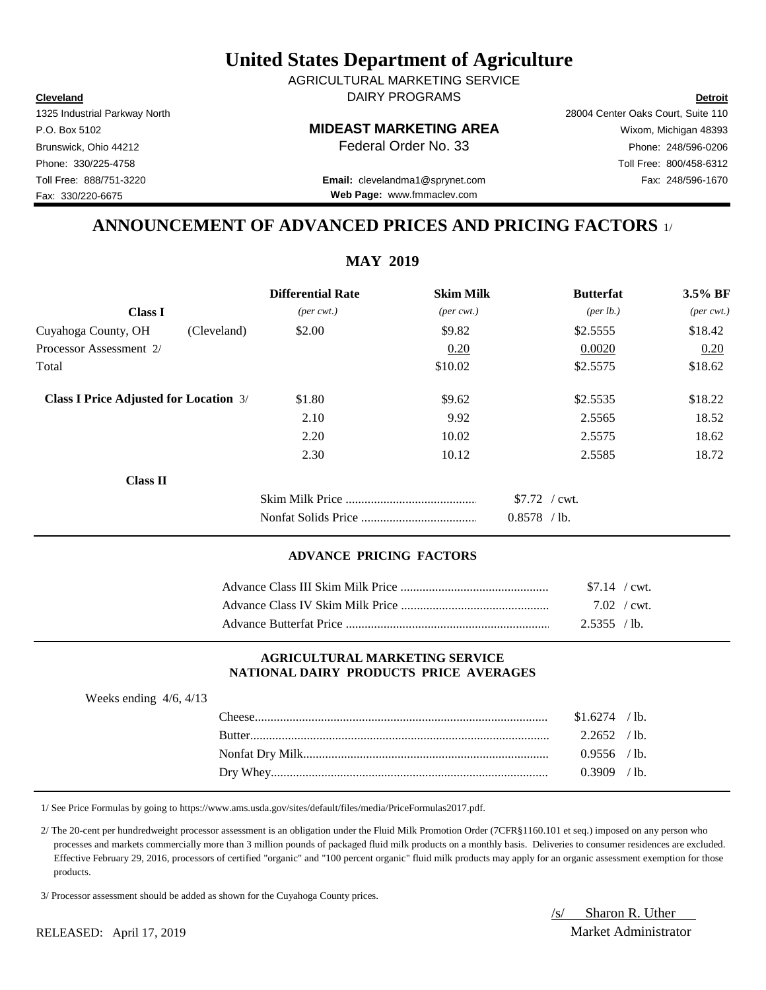**Cleveland Detroit** AGRICULTURAL MARKETING SERVICE DAIRY PROGRAMS

1325 Industrial Parkway North 28004 Center Oaks Court, Suite 110

P.O. Box 5102 **MIDEAST MARKETING AREA** Wixom, Michigan 48393

**Web Page:** www.fmmaclev.com

## Brunswick, Ohio 44212 **Phone:** 248/596-0206 **Federal Order No. 33** Phone: 248/596-0206 Phone: 330/225-4758 Toll Free: 800/458-6312 Toll Free: 888/751-3220 Fax: 248/596-1670 **Email:** clevelandma1@sprynet.com

# **ANNOUNCEMENT OF ADVANCED PRICES AND PRICING FACTORS** 1/

**MAY 2019**

|                                               | <b>Differential Rate</b>    | <b>Skim Milk</b>            | <b>Butterfat</b>     | 3.5% BF                     |
|-----------------------------------------------|-----------------------------|-----------------------------|----------------------|-----------------------------|
| <b>Class I</b>                                | $(\text{per} \text{ cwt.})$ | $(\text{per} \text{ cwt.})$ | ${\rm (per \, lb.)}$ | $(\text{per} \text{ cwt.})$ |
| Cuyahoga County, OH<br>(Cleveland)            | \$2.00                      | \$9.82                      | \$2.5555             | \$18.42                     |
| Processor Assessment 2/                       |                             | 0.20                        | 0.0020               | 0.20                        |
| Total                                         |                             | \$10.02                     | \$2.5575             | \$18.62                     |
| <b>Class I Price Adjusted for Location 3/</b> | \$1.80                      | \$9.62                      | \$2.5535             | \$18.22                     |
|                                               | 2.10                        | 9.92                        | 2.5565               | 18.52                       |
|                                               | 2.20                        | 10.02                       | 2.5575               | 18.62                       |
|                                               | 2.30                        | 10.12                       | 2.5585               | 18.72                       |
| <b>Class II</b>                               |                             |                             |                      |                             |
|                                               |                             |                             | $$7.72$ / cwt.       |                             |
|                                               |                             |                             | $0.8578$ /lb.        |                             |

#### **ADVANCE PRICING FACTORS**

| $$7.14$ / cwt. |
|----------------|
| 7.02 / $cwt$   |
| $2.5355$ / lb. |

#### **AGRICULTURAL MARKETING SERVICE NATIONAL DAIRY PRODUCTS PRICE AVERAGES**

| Weeks ending $4/6$ , $4/13$ |                 |  |
|-----------------------------|-----------------|--|
|                             | $$1.6274$ / lb. |  |
|                             | $2.2652$ /lb.   |  |
|                             | $0.9556$ /lb.   |  |
|                             | $0.3909$ /lb.   |  |

1/ See Price Formulas by going to https://www.ams.usda.gov/sites/default/files/media/PriceFormulas2017.pdf.

 2/ The 20-cent per hundredweight processor assessment is an obligation under the Fluid Milk Promotion Order (7CFR§1160.101 et seq.) imposed on any person who processes and markets commercially more than 3 million pounds of packaged fluid milk products on a monthly basis. Deliveries to consumer residences are excluded. Effective February 29, 2016, processors of certified "organic" and "100 percent organic" fluid milk products may apply for an organic assessment exemption for those products.

3/ Processor assessment should be added as shown for the Cuyahoga County prices.

/s/ Sharon R. Uther

Fax: 330/220-6675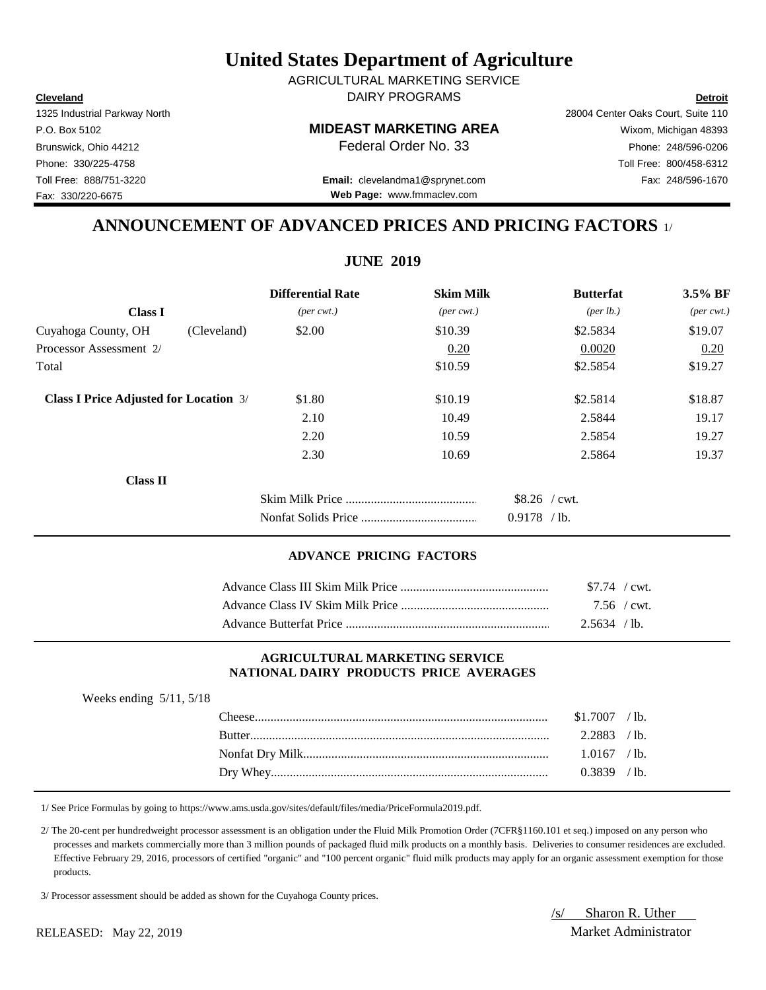**Cleveland Detroit** AGRICULTURAL MARKETING SERVICE DAIRY PROGRAMS

1325 Industrial Parkway North 28004 Center Oaks Court, Suite 110

Toll Free: 888/751-3220 Fax: 248/596-1670 **Email:** clevelandma1@sprynet.com **Web Page:** www.fmmaclev.com

# **ANNOUNCEMENT OF ADVANCED PRICES AND PRICING FACTORS** 1/

**JUNE 2019**

|                                               | <b>Differential Rate</b>    | <b>Skim Milk</b>            | <b>Butterfat</b>     | 3.5% BF                     |
|-----------------------------------------------|-----------------------------|-----------------------------|----------------------|-----------------------------|
| <b>Class I</b>                                | $(\text{per} \text{ cwt.})$ | $(\text{per} \text{ cwt.})$ | ${\rm (per \, lb.)}$ | $(\text{per} \text{ cwt.})$ |
| Cuyahoga County, OH<br>(Cleveland)            | \$2.00                      | \$10.39                     | \$2.5834             | \$19.07                     |
| Processor Assessment 2/                       |                             | 0.20                        | 0.0020               | 0.20                        |
| Total                                         |                             | \$10.59                     | \$2.5854             | \$19.27                     |
| <b>Class I Price Adjusted for Location 3/</b> | \$1.80                      | \$10.19                     | \$2.5814             | \$18.87                     |
|                                               | 2.10                        | 10.49                       | 2.5844               | 19.17                       |
|                                               | 2.20                        | 10.59                       | 2.5854               | 19.27                       |
|                                               | 2.30                        | 10.69                       | 2.5864               | 19.37                       |
| <b>Class II</b>                               |                             |                             |                      |                             |
|                                               |                             |                             | $$8.26$ / cwt.       |                             |
|                                               |                             |                             | $0.9178$ /lb.        |                             |

#### **ADVANCE PRICING FACTORS**

| \$7.74 / cwt.  |  |
|----------------|--|
| $7.56$ / cwt.  |  |
| $2.5634$ / lb. |  |

#### **AGRICULTURAL MARKETING SERVICE NATIONAL DAIRY PRODUCTS PRICE AVERAGES**

| $$1,7007$ /lb. |  |
|----------------|--|
|                |  |
| $1.0167$ /lb.  |  |
| $0.3839$ / lb. |  |

1/ See Price Formulas by going to https://www.ams.usda.gov/sites/default/files/media/PriceFormula2019.pdf.

 2/ The 20-cent per hundredweight processor assessment is an obligation under the Fluid Milk Promotion Order (7CFR§1160.101 et seq.) imposed on any person who processes and markets commercially more than 3 million pounds of packaged fluid milk products on a monthly basis. Deliveries to consumer residences are excluded. Effective February 29, 2016, processors of certified "organic" and "100 percent organic" fluid milk products may apply for an organic assessment exemption for those products.

3/ Processor assessment should be added as shown for the Cuyahoga County prices.

/s/ Sharon R. Uther

P.O. Box 5102 **MIDEAST MARKETING AREA** Wixom, Michigan 48393 Brunswick, Ohio 44212 **Phone:** 248/596-0206 **Federal Order No. 33** Phone: 248/596-0206 Phone: 330/225-4758 Toll Free: 800/458-6312 Fax: 330/220-6675

Weeks ending 5/11, 5/18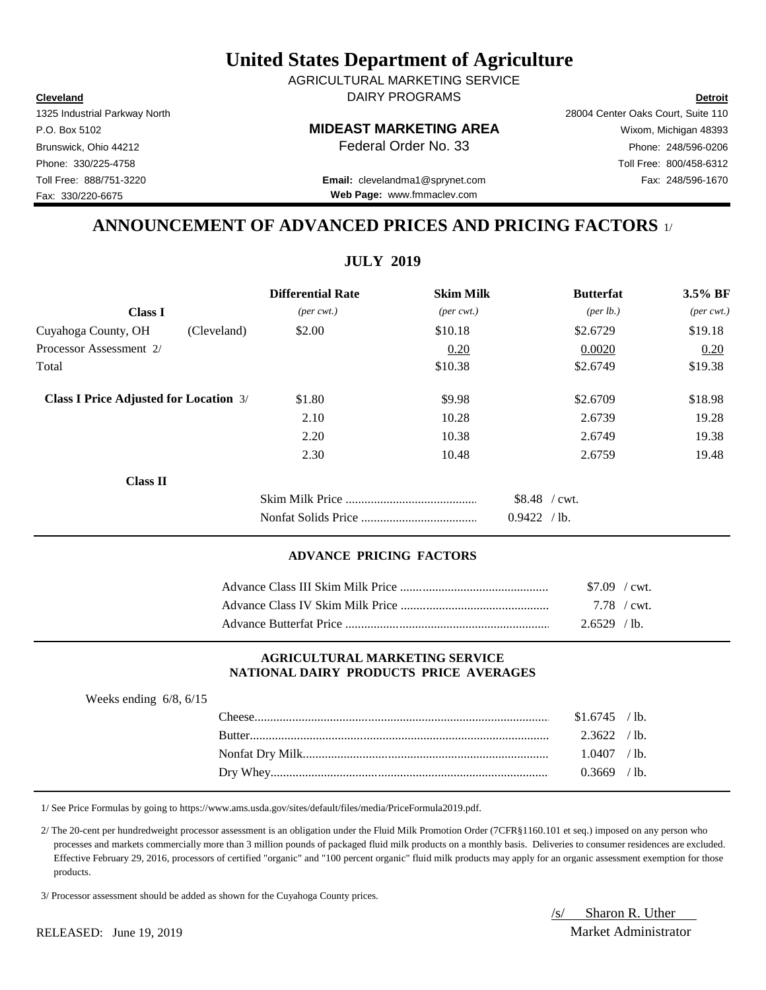**Cleveland Detroit** DAIRY PROGRAMS AGRICULTURAL MARKETING SERVICE

P.O. Box 5102 **MIDEAST MARKETING AREA** Wixom, Michigan 48393

## Toll Free: 888/751-3220 Fax: 248/596-1670 **Email:** clevelandma1@sprynet.com **Web Page:** www.fmmaclev.com

# **ANNOUNCEMENT OF ADVANCED PRICES AND PRICING FACTORS** 1/

|                                               |             | <b>Differential Rate</b>    | <b>Skim Milk</b>            | <b>Butterfat</b>   | 3.5% BF                     |
|-----------------------------------------------|-------------|-----------------------------|-----------------------------|--------------------|-----------------------------|
| <b>Class I</b>                                |             | $(\text{per} \text{ cwt.})$ | $(\text{per} \text{ cwt.})$ | $(\text{per lb.})$ | $(\text{per} \text{ cwt.})$ |
| Cuyahoga County, OH                           | (Cleveland) | \$2.00                      | \$10.18                     | \$2.6729           | \$19.18                     |
| Processor Assessment 2/                       |             |                             | 0.20                        | 0.0020             | 0.20                        |
| Total                                         |             |                             | \$10.38                     | \$2.6749           | \$19.38                     |
| <b>Class I Price Adjusted for Location 3/</b> |             | \$1.80                      | \$9.98                      | \$2.6709           | \$18.98                     |
|                                               |             | 2.10                        | 10.28                       | 2.6739             | 19.28                       |
|                                               |             | 2.20                        | 10.38                       | 2.6749             | 19.38                       |
|                                               |             | 2.30                        | 10.48                       | 2.6759             | 19.48                       |
| <b>Class II</b>                               |             |                             |                             |                    |                             |
|                                               |             |                             |                             | $$8.48$ / cwt.     |                             |
|                                               |             |                             |                             | 0.9422 / lb.       |                             |

### **ADVANCE PRICING FACTORS**

| $$7.09$ / cwt. |
|----------------|
| 7.78 / cwt.    |
| $2.6529$ /lb.  |

#### **AGRICULTURAL MARKETING SERVICE NATIONAL DAIRY PRODUCTS PRICE AVERAGES**

| Weeks ending $6/8$ , $6/15$ |               |                |       |
|-----------------------------|---------------|----------------|-------|
|                             | Cheese.       | $$1.6745$ /lb. |       |
|                             | <b>Butter</b> | 2.3622         | `lb.  |
|                             |               | 0407           | ′ 1b. |
|                             | Dry Whey.     | ) 3669         | ′ 1b. |

1/ See Price Formulas by going to https://www.ams.usda.gov/sites/default/files/media/PriceFormula2019.pdf.

 2/ The 20-cent per hundredweight processor assessment is an obligation under the Fluid Milk Promotion Order (7CFR§1160.101 et seq.) imposed on any person who processes and markets commercially more than 3 million pounds of packaged fluid milk products on a monthly basis. Deliveries to consumer residences are excluded. Effective February 29, 2016, processors of certified "organic" and "100 percent organic" fluid milk products may apply for an organic assessment exemption for those products.

3/ Processor assessment should be added as shown for the Cuyahoga County prices.

/s/ Sharon R. Uther

1325 Industrial Parkway North 28004 Center Oaks Court, Suite 110

Fax: 330/220-6675

#### RELEASED: June 19, 2019 Market Administrator

Brunswick, Ohio 44212 **Phone: 248/596-0206 Federal Order No. 33** Phone: 248/596-0206 Phone: 330/225-4758 Toll Free: 800/458-6312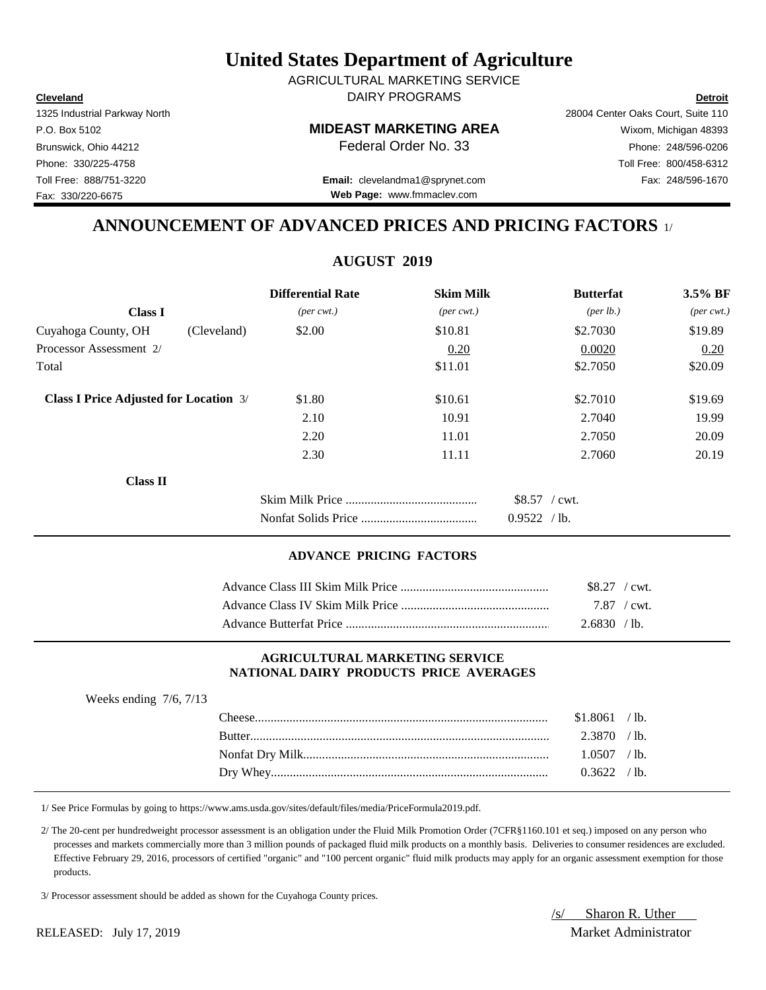**Cleveland Detroit** DAIRY PROGRAMS AGRICULTURAL MARKETING SERVICE

P.O. Box 5102 **MIDEAST MARKETING AREA** Wixom, Michigan 48393

Toll Free: 888/751-3220 Fax: 248/596-1670 **Email:** clevelandma1@sprynet.com **Web Page:** www.fmmaclev.com

# **ANNOUNCEMENT OF ADVANCED PRICES AND PRICING FACTORS** 1/

## **AUGUST 2019**

|                                               |             | <b>Differential Rate</b>    | <b>Skim Milk</b>            | <b>Butterfat</b>     | 3.5% BF                     |
|-----------------------------------------------|-------------|-----------------------------|-----------------------------|----------------------|-----------------------------|
| <b>Class I</b>                                |             | $(\text{per} \text{ cwt.})$ | $(\text{per} \text{ cwt.})$ | ${\rm (per \, lb.)}$ | $(\text{per} \text{ cwt.})$ |
| Cuyahoga County, OH                           | (Cleveland) | \$2.00                      | \$10.81                     | \$2.7030             | \$19.89                     |
| Processor Assessment 2/                       |             |                             | 0.20                        | 0.0020               | 0.20                        |
| Total                                         |             |                             | \$11.01                     | \$2.7050             | \$20.09                     |
| <b>Class I Price Adjusted for Location 3/</b> |             | \$1.80                      | \$10.61                     | \$2.7010             | \$19.69                     |
|                                               |             | 2.10                        | 10.91                       | 2.7040               | 19.99                       |
|                                               |             | 2.20                        | 11.01                       | 2.7050               | 20.09                       |
|                                               |             | 2.30                        | 11.11                       | 2.7060               | 20.19                       |
| <b>Class II</b>                               |             |                             |                             |                      |                             |
|                                               |             |                             |                             | $$8.57$ / cwt.       |                             |
|                                               |             |                             |                             | 0.9522 / lb.         |                             |

### **ADVANCE PRICING FACTORS**

| $$8.27$ / cwt. |  |
|----------------|--|
| 7.87 / cwt.    |  |
| 2.6830 / lb.   |  |

#### **AGRICULTURAL MARKETING SERVICE NATIONAL DAIRY PRODUCTS PRICE AVERAGES**

| Weeks ending $7/6$ , $7/13$ |        |          |                 |
|-----------------------------|--------|----------|-----------------|
|                             | `heese | \$1.8061 | /1b.            |
|                             |        | 2.3870   | $\prime$ lb.    |
|                             |        | .0507    | $\prime$ lb.    |
|                             |        | 13622    | $^{\prime}$ 1b. |

1/ See Price Formulas by going to https://www.ams.usda.gov/sites/default/files/media/PriceFormula2019.pdf.

 2/ The 20-cent per hundredweight processor assessment is an obligation under the Fluid Milk Promotion Order (7CFR§1160.101 et seq.) imposed on any person who processes and markets commercially more than 3 million pounds of packaged fluid milk products on a monthly basis. Deliveries to consumer residences are excluded. Effective February 29, 2016, processors of certified "organic" and "100 percent organic" fluid milk products may apply for an organic assessment exemption for those products.

3/ Processor assessment should be added as shown for the Cuyahoga County prices.

/s/ Sharon R. Uther

Fax: 330/220-6675

## RELEASED: July 17, 2019 Market Administrator

1325 Industrial Parkway North 28004 Center Oaks Court, Suite 110 Brunswick, Ohio 44212 **Phone:** 248/596-0206 **Federal Order No. 33** Phone: 248/596-0206 Phone: 330/225-4758 Toll Free: 800/458-6312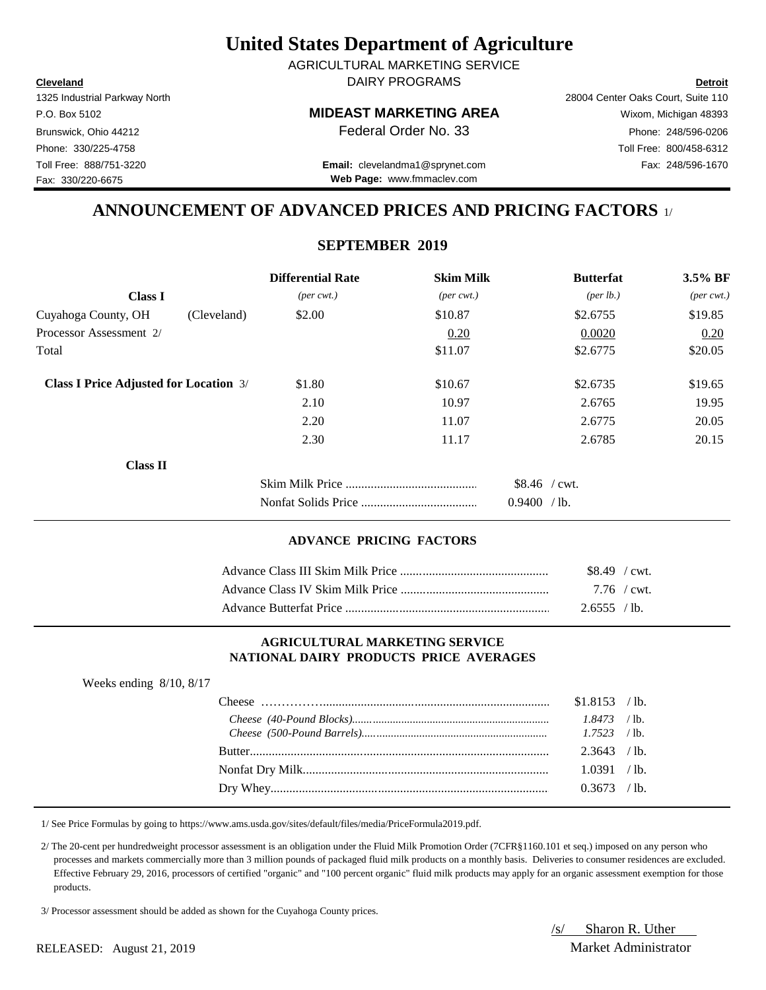**Cleveland Detroit** DAIRY PROGRAMS AGRICULTURAL MARKETING SERVICE

Fax: 330/220-6675

### P.O. Box 5102 **MIDEAST MARKETING AREA** Wixom, Michigan 48393

1325 Industrial Parkway North 28004 Center Oaks Court, Suite 110 Brunswick, Ohio 44212 **Phone: 248/596-0206 Federal Order No. 33** Phone: 248/596-0206 Phone: 330/225-4758 Toll Free: 800/458-6312

Toll Free: 888/751-3220 Fax: 248/596-1670 **Email:** clevelandma1@sprynet.com **Web Page:** www.fmmaclev.com

## **ANNOUNCEMENT OF ADVANCED PRICES AND PRICING FACTORS** 1/

## **SEPTEMBER 2019**

|                                               | <b>Differential Rate</b>    | <b>Skim Milk</b>            | <b>Butterfat</b>               | 3.5% BF                     |
|-----------------------------------------------|-----------------------------|-----------------------------|--------------------------------|-----------------------------|
| <b>Class I</b>                                | $(\text{per} \text{ cwt.})$ | $(\text{per} \text{ cwt.})$ | $(\text{per lb.})$             | $(\text{per} \text{ cwt.})$ |
| Cuyahoga County, OH<br>(Cleveland)            | \$2.00                      | \$10.87                     | \$2.6755                       | \$19.85                     |
| Processor Assessment 2/                       |                             | 0.20                        | 0.0020                         | 0.20                        |
| Total                                         |                             | \$11.07                     | \$2.6775                       | \$20.05                     |
| <b>Class I Price Adjusted for Location</b> 3/ | \$1.80                      | \$10.67                     | \$2.6735                       | \$19.65                     |
|                                               | 2.10                        | 10.97                       | 2.6765                         | 19.95                       |
|                                               | 2.20                        | 11.07                       | 2.6775                         | 20.05                       |
|                                               | 2.30                        | 11.17                       | 2.6785                         | 20.15                       |
| <b>Class II</b>                               |                             |                             |                                |                             |
|                                               |                             |                             | $$8.46$ / cwt.<br>0.9400 / lb. |                             |

#### **ADVANCE PRICING FACTORS**

| $$8.49$ / cwt. |  |
|----------------|--|
| 7.76 / cwt.    |  |
| 2.6555 / lb.   |  |

#### **AGRICULTURAL MARKETING SERVICE NATIONAL DAIRY PRODUCTS PRICE AVERAGES**

| Weeks ending $8/10$ , $8/17$ |                |  |
|------------------------------|----------------|--|
|                              | $$1.8153$ /lb. |  |
|                              |                |  |
|                              |                |  |
|                              | $2.3643$ /lb.  |  |
|                              | 1.0391 / lb.   |  |
|                              | $0.3673$ /lb.  |  |
|                              |                |  |

1/ See Price Formulas by going to https://www.ams.usda.gov/sites/default/files/media/PriceFormula2019.pdf.

 2/ The 20-cent per hundredweight processor assessment is an obligation under the Fluid Milk Promotion Order (7CFR§1160.101 et seq.) imposed on any person who processes and markets commercially more than 3 million pounds of packaged fluid milk products on a monthly basis. Deliveries to consumer residences are excluded. Effective February 29, 2016, processors of certified "organic" and "100 percent organic" fluid milk products may apply for an organic assessment exemption for those products.

3/ Processor assessment should be added as shown for the Cuyahoga County prices.

/s/ Sharon R. Uther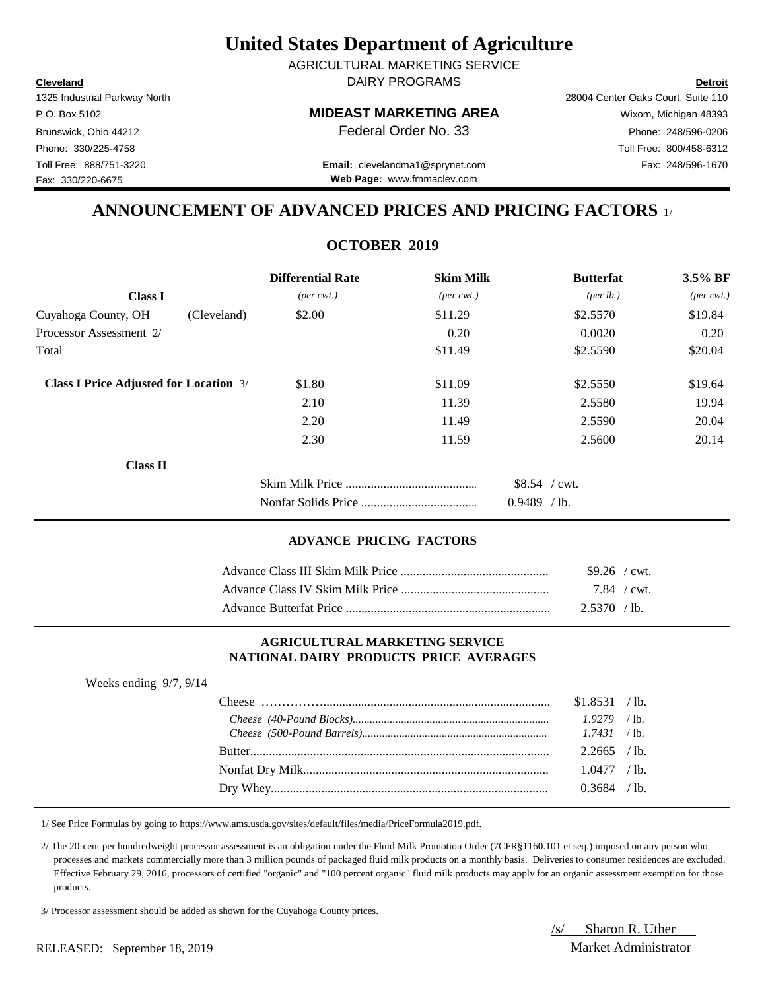**Cleveland Detroit** DAIRY PROGRAMS AGRICULTURAL MARKETING SERVICE

Fax: 330/220-6675

## P.O. Box 5102 **MIDEAST MARKETING AREA** Wixom, Michigan 48393

1325 Industrial Parkway North 28004 Center Oaks Court, Suite 110 Brunswick, Ohio 44212 **Phone:** 248/596-0206 **Federal Order No. 33** Phone: 248/596-0206 Phone: 330/225-4758 Toll Free: 800/458-6312

Toll Free: 888/751-3220 Fax: 248/596-1670 **Email:** clevelandma1@sprynet.com **Web Page:** www.fmmaclev.com

## **ANNOUNCEMENT OF ADVANCED PRICES AND PRICING FACTORS** 1/

## **OCTOBER 2019**

|                                               | <b>Differential Rate</b>    | <b>Skim Milk</b>            | <b>Butterfat</b>     | 3.5% BF                     |
|-----------------------------------------------|-----------------------------|-----------------------------|----------------------|-----------------------------|
| <b>Class I</b>                                | $(\text{per} \text{ cwt.})$ | $(\text{per} \text{ cwt.})$ | ${\rm (per \, lb.)}$ | $(\text{per} \text{ cwt.})$ |
| Cuyahoga County, OH                           | \$2.00<br>(Cleveland)       | \$11.29                     | \$2.5570             | \$19.84                     |
| Processor Assessment 2/                       |                             | 0.20                        | 0.0020               | 0.20                        |
| Total                                         |                             | \$11.49                     | \$2.5590             | \$20.04                     |
| <b>Class I Price Adjusted for Location 3/</b> | \$1.80                      | \$11.09                     | \$2.5550             | \$19.64                     |
|                                               | 2.10                        | 11.39                       | 2.5580               | 19.94                       |
|                                               | 2.20                        | 11.49                       | 2.5590               | 20.04                       |
|                                               | 2.30                        | 11.59                       | 2.5600               | 20.14                       |
| <b>Class II</b>                               |                             |                             |                      |                             |
|                                               |                             |                             | $$8.54$ / cwt.       |                             |
|                                               |                             |                             | $0.9489$ /lb.        |                             |

### **ADVANCE PRICING FACTORS**

| $$9.26$ / cwt. |             |
|----------------|-------------|
|                | 7.84 / cwt. |
| $2.5370$ /lb.  |             |

#### **AGRICULTURAL MARKETING SERVICE NATIONAL DAIRY PRODUCTS PRICE AVERAGES**

| Weeks ending $9/7$ , $9/14$ |                |  |
|-----------------------------|----------------|--|
|                             | $$1.8531$ /lb. |  |
|                             | $1.9279$ /lb.  |  |
|                             |                |  |
|                             | $2.2665$ /lb.  |  |
|                             | 1.0477 / lb.   |  |
|                             | $0.3684$ /lb.  |  |
|                             |                |  |

1/ See Price Formulas by going to https://www.ams.usda.gov/sites/default/files/media/PriceFormula2019.pdf.

 2/ The 20-cent per hundredweight processor assessment is an obligation under the Fluid Milk Promotion Order (7CFR§1160.101 et seq.) imposed on any person who processes and markets commercially more than 3 million pounds of packaged fluid milk products on a monthly basis. Deliveries to consumer residences are excluded. Effective February 29, 2016, processors of certified "organic" and "100 percent organic" fluid milk products may apply for an organic assessment exemption for those products.

3/ Processor assessment should be added as shown for the Cuyahoga County prices.

/s/ Sharon R. Uther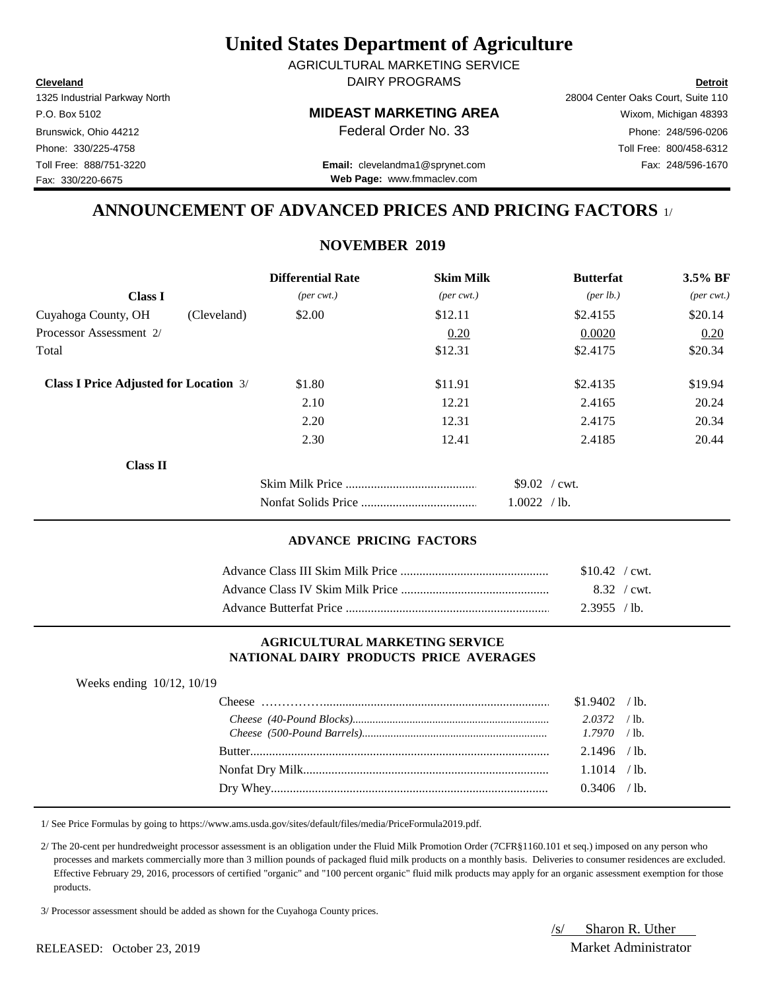**Cleveland Detroit** DAIRY PROGRAMS AGRICULTURAL MARKETING SERVICE

Fax: 330/220-6675

## P.O. Box 5102 **MIDEAST MARKETING AREA** Wixom, Michigan 48393

1325 Industrial Parkway North 28004 Center Oaks Court, Suite 110 Brunswick, Ohio 44212 **Phone:** 248/596-0206 **Federal Order No. 33** Phone: 248/596-0206 Phone: 330/225-4758 Toll Free: 800/458-6312

Toll Free: 888/751-3220 Fax: 248/596-1670 **Email:** clevelandma1@sprynet.com **Web Page:** www.fmmaclev.com

## **ANNOUNCEMENT OF ADVANCED PRICES AND PRICING FACTORS** 1/

## **NOVEMBER 2019**

|                                               | <b>Differential Rate</b>    | <b>Skim Milk</b>            | <b>Butterfat</b>     | 3.5% BF                     |
|-----------------------------------------------|-----------------------------|-----------------------------|----------------------|-----------------------------|
| <b>Class I</b>                                | $(\text{per} \text{ cwt.})$ | $(\text{per} \text{ cwt.})$ | ${\rm (per \, lb.)}$ | $(\text{per} \text{ cwt.})$ |
| Cuyahoga County, OH                           | \$2.00<br>(Cleveland)       | \$12.11                     | \$2.4155             | \$20.14                     |
| Processor Assessment 2/                       |                             | 0.20                        | 0.0020               | 0.20                        |
| Total                                         |                             | \$12.31                     | \$2.4175             | \$20.34                     |
| <b>Class I Price Adjusted for Location 3/</b> | \$1.80                      | \$11.91                     | \$2.4135             | \$19.94                     |
|                                               | 2.10                        | 12.21                       | 2.4165               | 20.24                       |
|                                               | 2.20                        | 12.31                       | 2.4175               | 20.34                       |
|                                               | 2.30                        | 12.41                       | 2.4185               | 20.44                       |
| <b>Class II</b>                               |                             |                             |                      |                             |
|                                               |                             |                             | $$9.02$ / cwt.       |                             |
|                                               |                             |                             | 1.0022 / lb.         |                             |

### **ADVANCE PRICING FACTORS**

| $$10.42$ / cwt. |
|-----------------|
| 8.32 / cwt.     |
| 2.3955 / lb.    |

#### **AGRICULTURAL MARKETING SERVICE NATIONAL DAIRY PRODUCTS PRICE AVERAGES**

| Weeks ending 10/12, 10/19 |                |  |
|---------------------------|----------------|--|
|                           | $$1.9402$ /lb. |  |
|                           | $2.0372$ /lb.  |  |
|                           |                |  |
|                           | $2.1496$ /lb.  |  |
|                           | $1.1014$ /lb.  |  |
|                           | $0.3406$ /lb.  |  |

1/ See Price Formulas by going to https://www.ams.usda.gov/sites/default/files/media/PriceFormula2019.pdf.

 2/ The 20-cent per hundredweight processor assessment is an obligation under the Fluid Milk Promotion Order (7CFR§1160.101 et seq.) imposed on any person who processes and markets commercially more than 3 million pounds of packaged fluid milk products on a monthly basis. Deliveries to consumer residences are excluded. Effective February 29, 2016, processors of certified "organic" and "100 percent organic" fluid milk products may apply for an organic assessment exemption for those products.

3/ Processor assessment should be added as shown for the Cuyahoga County prices.

/s/ Sharon R. Uther

#### RELEASED: October 23, 2019 Market Administrator